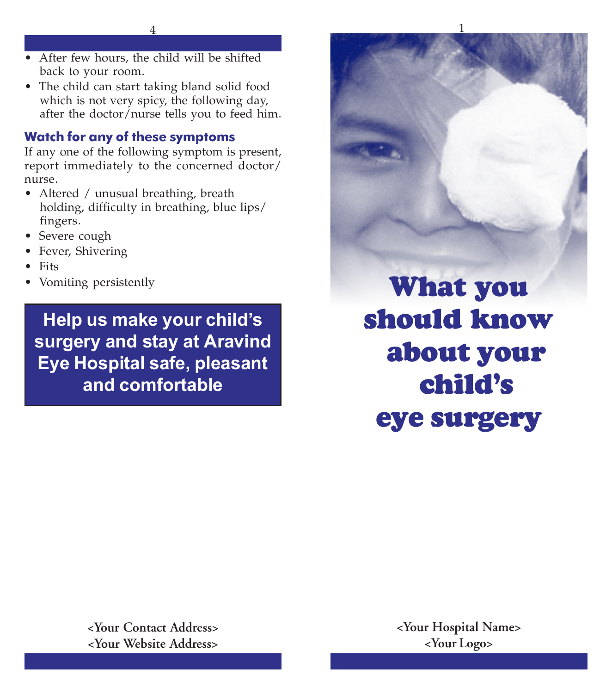- After few hours, the child will be shifted back to your room.
- The child can start taking bland solid food which is not very spicy, the following day, after the doctor/nurse tells you to feed him.

# **Watch for any of these symptoms**

If any one of the following symptom is present, report immediately to the concerned doctor/ nurse.

- Altered / unusual breathing, breath holding, difficulty in breathing, blue lips/ fingers.
- Severe cough
- Fever, Shivering
- Fits
- Vomiting persistently

**Help us make your child's surgery and stay at Aravind Eye Hospital safe, pleasant and comfortable**

**What you should know about your child's eye surgery**

**<Your Contact Address> <Your Website Address>**

**<Your Hospital Name> <Your Logo>**